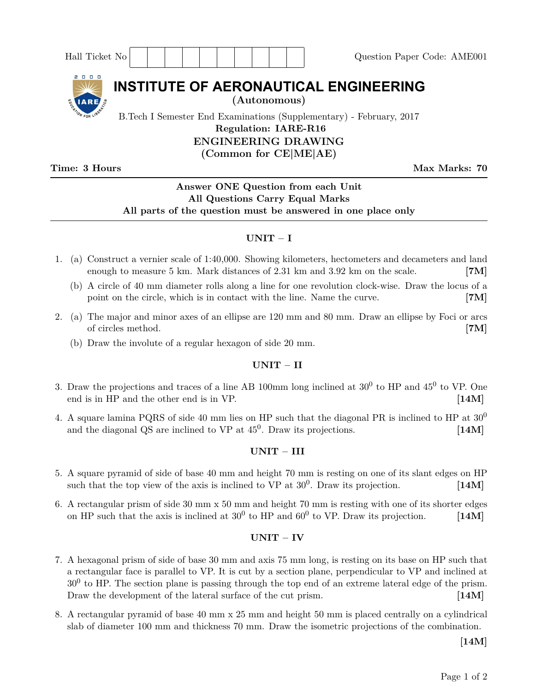| Hall Ticket No                                                      | Question Paper Code: AME001 |
|---------------------------------------------------------------------|-----------------------------|
| 2000<br><b>INSTITUTE OF AERONAUTICAL ENGINEERING</b>                |                             |
| (Autonomous)<br><b>ELARE</b>                                        |                             |
| B.Tech I Semester End Examinations (Supplementary) - February, 2017 |                             |
| <b>Regulation: IARE-R16</b>                                         |                             |
| <b>ENGINEERING DRAWING</b>                                          |                             |
| (Common for CE ME AE)                                               |                             |

**Time: 3 Hours Max Marks: 70** 

# **Answer ONE Question from each Unit All Questions Carry Equal Marks All parts of the question must be answered in one place only**

## **UNIT – I**

- 1. (a) Construct a vernier scale of 1:40,000. Showing kilometers, hectometers and decameters and land enough to measure 5 km. Mark distances of 2.31 km and 3.92 km on the scale. **[7M]**
	- (b) A circle of 40 mm diameter rolls along a line for one revolution clock-wise. Draw the locus of a point on the circle, which is in contact with the line. Name the curve. **[7M]**
- 2. (a) The major and minor axes of an ellipse are 120 mm and 80 mm. Draw an ellipse by Foci or arcs of circles method. **[7M]**
	- (b) Draw the involute of a regular hexagon of side 20 mm.

### **UNIT – II**

- 3. Draw the projections and traces of a line AB 100mm long inclined at  $30^0$  to HP and  $45^0$  to VP. One end is in HP and the other end is in VP. **[14M]**
- 4. A square lamina PQRS of side 40 mm lies on HP such that the diagonal PR is inclined to HP at  $30^0$ and the diagonal QS are inclined to  $VP$  at  $45^0$ . Draw its projections.  $[14M]$

### **UNIT – III**

- 5. A square pyramid of side of base 40 mm and height 70 mm is resting on one of its slant edges on HP such that the top view of the axis is inclined to  $VP$  at  $30^0$ . Draw its projection. [14M]
- 6. A rectangular prism of side 30 mm x 50 mm and height 70 mm is resting with one of its shorter edges on HP such that the axis is inclined at  $30^0$  to HP and  $60^0$  to VP. Draw its projection. [14M]

### **UNIT – IV**

- 7. A hexagonal prism of side of base 30 mm and axis 75 mm long, is resting on its base on HP such that a rectangular face is parallel to VP. It is cut by a section plane, perpendicular to VP and inclined at  $30<sup>0</sup>$  to HP. The section plane is passing through the top end of an extreme lateral edge of the prism. Draw the development of the lateral surface of the cut prism. **[14M]**
- 8. A rectangular pyramid of base 40 mm x 25 mm and height 50 mm is placed centrally on a cylindrical slab of diameter 100 mm and thickness 70 mm. Draw the isometric projections of the combination.

**[14M]**